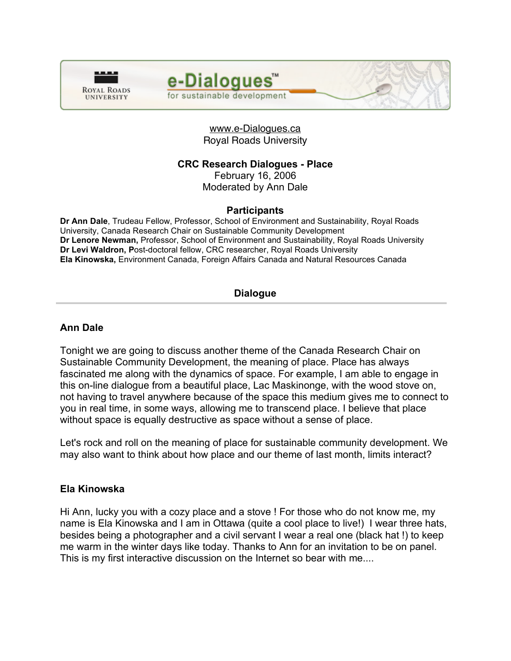



## www.e-Dialogues.ca Royal Roads University

# **CRC Research Dialogues - Place**

February 16, 2006

Moderated by Ann Dale

## **Participants**

**Dr Ann Dale**, Trudeau Fellow, Professor, School of Environment and Sustainability, Royal Roads University, Canada Research Chair on Sustainable Community Development **Dr Lenore Newman,** Professor, School of Environment and Sustainability, Royal Roads University **Dr Levi Waldron, P**ost-doctoral fellow, CRC researcher, Royal Roads University **Ela Kinowska,** Environment Canada, Foreign Affairs Canada and Natural Resources Canada

# **Dialogue**

## **Ann Dale**

Tonight we are going to discuss another theme of the Canada Research Chair on Sustainable Community Development, the meaning of place. Place has always fascinated me along with the dynamics of space. For example, I am able to engage in this on-line dialogue from a beautiful place, Lac Maskinonge, with the wood stove on, not having to travel anywhere because of the space this medium gives me to connect to you in real time, in some ways, allowing me to transcend place. I believe that place without space is equally destructive as space without a sense of place.

Let's rock and roll on the meaning of place for sustainable community development. We may also want to think about how place and our theme of last month, limits interact?

# **Ela Kinowska**

Hi Ann, lucky you with a cozy place and a stove ! For those who do not know me, my name is Ela Kinowska and I am in Ottawa (quite a cool place to live!) I wear three hats, besides being a photographer and a civil servant I wear a real one (black hat !) to keep me warm in the winter days like today. Thanks to Ann for an invitation to be on panel. This is my first interactive discussion on the Internet so bear with me....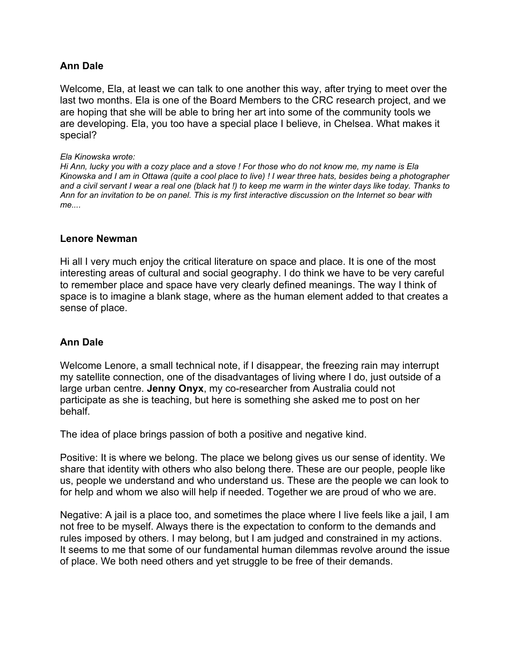## **Ann Dale**

Welcome, Ela, at least we can talk to one another this way, after trying to meet over the last two months. Ela is one of the Board Members to the CRC research project, and we are hoping that she will be able to bring her art into some of the community tools we are developing. Ela, you too have a special place I believe, in Chelsea. What makes it special?

#### *Ela Kinowska wrote:*

Hi Ann, lucky you with a cozy place and a stove ! For those who do not know me, my name is Ela Kinowska and I am in Ottawa (quite a cool place to live) ! I wear three hats, besides being a photographer and a civil servant I wear a real one (black hat !) to keep me warm in the winter days like today. Thanks to Ann for an invitation to be on panel. This is my first interactive discussion on the Internet so bear with *me....*

#### **Lenore Newman**

Hi all I very much enjoy the critical literature on space and place. It is one of the most interesting areas of cultural and social geography. I do think we have to be very careful to remember place and space have very clearly defined meanings. The way I think of space is to imagine a blank stage, where as the human element added to that creates a sense of place.

#### **Ann Dale**

Welcome Lenore, a small technical note, if I disappear, the freezing rain may interrupt my satellite connection, one of the disadvantages of living where I do, just outside of a large urban centre. **Jenny Onyx**, my co-researcher from Australia could not participate as she is teaching, but here is something she asked me to post on her behalf.

The idea of place brings passion of both a positive and negative kind.

Positive: It is where we belong. The place we belong gives us our sense of identity. We share that identity with others who also belong there. These are our people, people like us, people we understand and who understand us. These are the people we can look to for help and whom we also will help if needed. Together we are proud of who we are.

Negative: A jail is a place too, and sometimes the place where I live feels like a jail, I am not free to be myself. Always there is the expectation to conform to the demands and rules imposed by others. I may belong, but I am judged and constrained in my actions. It seems to me that some of our fundamental human dilemmas revolve around the issue of place. We both need others and yet struggle to be free of their demands.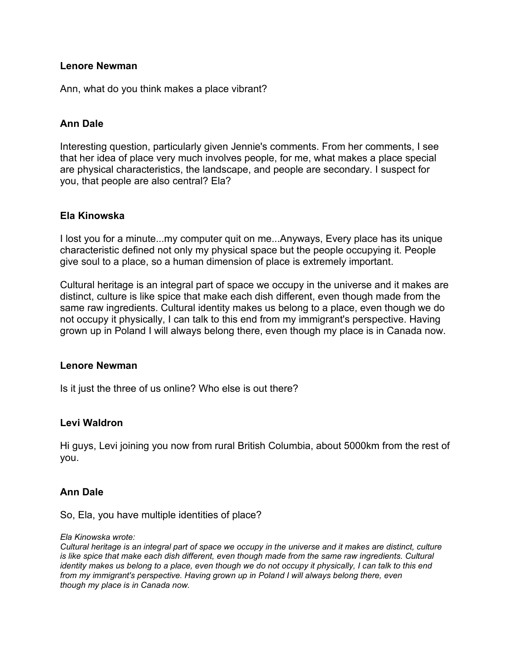Ann, what do you think makes a place vibrant?

## **Ann Dale**

Interesting question, particularly given Jennie's comments. From her comments, I see that her idea of place very much involves people, for me, what makes a place special are physical characteristics, the landscape, and people are secondary. I suspect for you, that people are also central? Ela?

## **Ela Kinowska**

I lost you for a minute...my computer quit on me...Anyways, Every place has its unique characteristic defined not only my physical space but the people occupying it. People give soul to a place, so a human dimension of place is extremely important.

Cultural heritage is an integral part of space we occupy in the universe and it makes are distinct, culture is like spice that make each dish different, even though made from the same raw ingredients. Cultural identity makes us belong to a place, even though we do not occupy it physically, I can talk to this end from my immigrant's perspective. Having grown up in Poland I will always belong there, even though my place is in Canada now.

#### **Lenore Newman**

Is it just the three of us online? Who else is out there?

## **Levi Waldron**

Hi guys, Levi joining you now from rural British Columbia, about 5000km from the rest of you.

## **Ann Dale**

So, Ela, you have multiple identities of place?

*Ela Kinowska wrote:*

Cultural heritage is an integral part of space we occupy in the universe and it makes are distinct, culture *is like spice that make each dish different, even though made from the same raw ingredients. Cultural* identity makes us belong to a place, even though we do not occupy it physically, I can talk to this end *from my immigrant's perspective. Having grown up in Poland I will always belong there, even though my place is in Canada now.*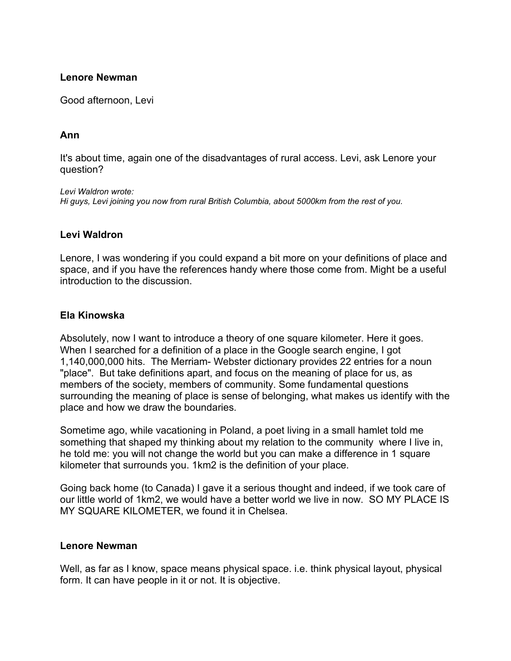Good afternoon, Levi

## **Ann**

It's about time, again one of the disadvantages of rural access. Levi, ask Lenore your question?

*Levi Waldron wrote: Hi guys, Levi joining you now from rural British Columbia, about 5000km from the rest of you.*

## **Levi Waldron**

Lenore, I was wondering if you could expand a bit more on your definitions of place and space, and if you have the references handy where those come from. Might be a useful introduction to the discussion.

## **Ela Kinowska**

Absolutely, now I want to introduce a theory of one square kilometer. Here it goes. When I searched for a definition of a place in the Google search engine, I got 1,140,000,000 hits. The Merriam- Webster dictionary provides 22 entries for a noun "place". But take definitions apart, and focus on the meaning of place for us, as members of the society, members of community. Some fundamental questions surrounding the meaning of place is sense of belonging, what makes us identify with the place and how we draw the boundaries.

Sometime ago, while vacationing in Poland, a poet living in a small hamlet told me something that shaped my thinking about my relation to the community where I live in, he told me: you will not change the world but you can make a difference in 1 square kilometer that surrounds you. 1km2 is the definition of your place.

Going back home (to Canada) I gave it a serious thought and indeed, if we took care of our little world of 1km2, we would have a better world we live in now. SO MY PLACE IS MY SQUARE KILOMETER, we found it in Chelsea.

#### **Lenore Newman**

Well, as far as I know, space means physical space. i.e. think physical layout, physical form. It can have people in it or not. It is objective.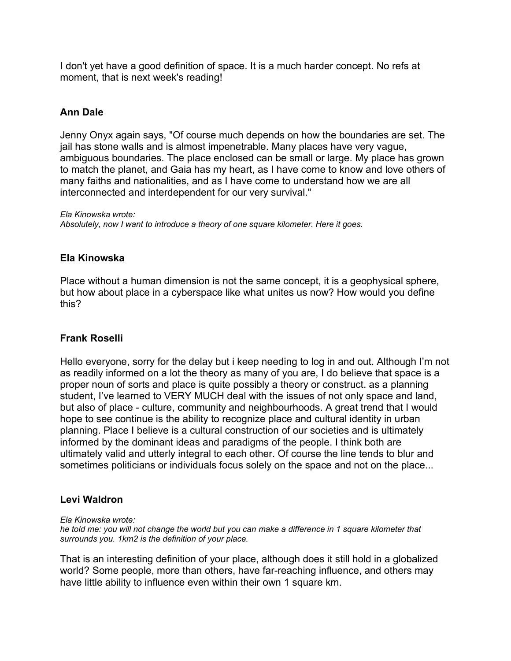I don't yet have a good definition of space. It is a much harder concept. No refs at moment, that is next week's reading!

## **Ann Dale**

Jenny Onyx again says, "Of course much depends on how the boundaries are set. The jail has stone walls and is almost impenetrable. Many places have very vague, ambiguous boundaries. The place enclosed can be small or large. My place has grown to match the planet, and Gaia has my heart, as I have come to know and love others of many faiths and nationalities, and as I have come to understand how we are all interconnected and interdependent for our very survival."

*Ela Kinowska wrote: Absolutely, now I want to introduce a theory of one square kilometer. Here it goes.*

## **Ela Kinowska**

Place without a human dimension is not the same concept, it is a geophysical sphere, but how about place in a cyberspace like what unites us now? How would you define this?

## **Frank Roselli**

Hello everyone, sorry for the delay but i keep needing to log in and out. Although I'm not as readily informed on a lot the theory as many of you are, I do believe that space is a proper noun of sorts and place is quite possibly a theory or construct. as a planning student, I've learned to VERY MUCH deal with the issues of not only space and land, but also of place - culture, community and neighbourhoods. A great trend that I would hope to see continue is the ability to recognize place and cultural identity in urban planning. Place I believe is a cultural construction of our societies and is ultimately informed by the dominant ideas and paradigms of the people. I think both are ultimately valid and utterly integral to each other. Of course the line tends to blur and sometimes politicians or individuals focus solely on the space and not on the place...

#### **Levi Waldron**

*Ela Kinowska wrote:*

he told me: you will not change the world but you can make a difference in 1 square kilometer that *surrounds you. 1km2 is the definition of your place.*

That is an interesting definition of your place, although does it still hold in a globalized world? Some people, more than others, have far-reaching influence, and others may have little ability to influence even within their own 1 square km.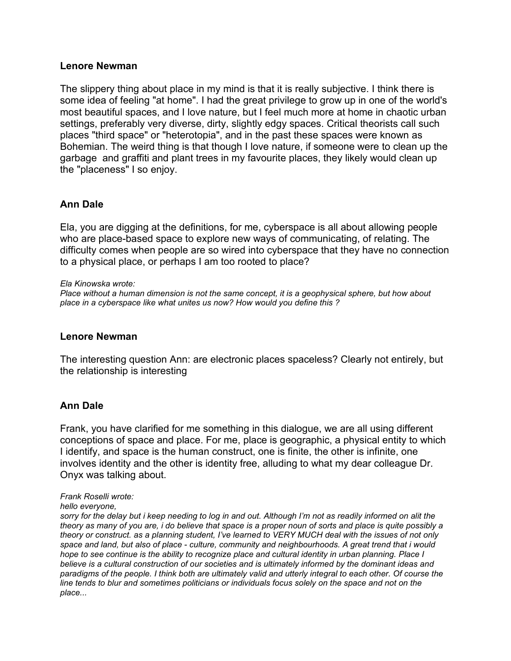The slippery thing about place in my mind is that it is really subjective. I think there is some idea of feeling "at home". I had the great privilege to grow up in one of the world's most beautiful spaces, and I love nature, but I feel much more at home in chaotic urban settings, preferably very diverse, dirty, slightly edgy spaces. Critical theorists call such places "third space" or "heterotopia", and in the past these spaces were known as Bohemian. The weird thing is that though I love nature, if someone were to clean up the garbage and graffiti and plant trees in my favourite places, they likely would clean up the "placeness" I so enjoy.

## **Ann Dale**

Ela, you are digging at the definitions, for me, cyberspace is all about allowing people who are place-based space to explore new ways of communicating, of relating. The difficulty comes when people are so wired into cyberspace that they have no connection to a physical place, or perhaps I am too rooted to place?

*Ela Kinowska wrote:*

*Place without a human dimension is not the same concept, it is a geophysical sphere, but how about place in a cyberspace like what unites us now? How would you define this ?*

#### **Lenore Newman**

The interesting question Ann: are electronic places spaceless? Clearly not entirely, but the relationship is interesting

## **Ann Dale**

Frank, you have clarified for me something in this dialogue, we are all using different conceptions of space and place. For me, place is geographic, a physical entity to which I identify, and space is the human construct, one is finite, the other is infinite, one involves identity and the other is identity free, alluding to what my dear colleague Dr. Onyx was talking about.

#### *Frank Roselli wrote:*

#### *hello everyone,*

sorry for the delay but i keep needing to log in and out. Although I'm not as readily informed on alit the theory as many of you are, i do believe that space is a proper noun of sorts and place is quite possibly a theory or construct, as a planning student, I've learned to VERY MUCH deal with the issues of not only space and land, but also of place - culture, community and neighbourhoods. A great trend that i would hope to see continue is the ability to recognize place and cultural identity in urban planning. Place I *believe is a cultural construction of our societies and is ultimately informed by the dominant ideas and* paradigms of the people. I think both are ultimately valid and utterly integral to each other. Of course the line tends to blur and sometimes politicians or individuals focus solely on the space and not on the *place...*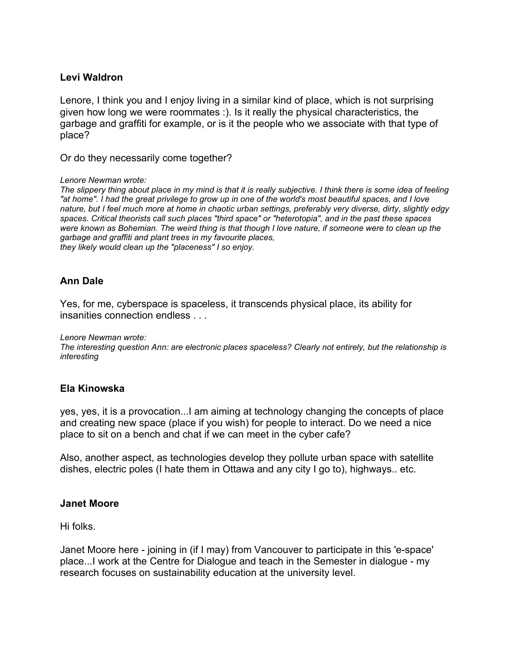## **Levi Waldron**

Lenore, I think you and I enjoy living in a similar kind of place, which is not surprising given how long we were roommates :). Is it really the physical characteristics, the garbage and graffiti for example, or is it the people who we associate with that type of place?

Or do they necessarily come together?

#### *Lenore Newman wrote:*

The slippery thing about place in my mind is that it is really subjective. I think there is some idea of feeling "at home". I had the great privilege to grow up in one of the world's most beautiful spaces, and I love nature, but I feel much more at home in chaotic urban settings, preferably very diverse, dirty, slightly edgy *spaces. Critical theorists call such places "third space" or "heterotopia", and in the past these spaces* were known as Bohemian. The weird thing is that though I love nature, if someone were to clean up the *garbage and graffiti and plant trees in my favourite places, they likely would clean up the "placeness" I so enjoy.*

## **Ann Dale**

Yes, for me, cyberspace is spaceless, it transcends physical place, its ability for insanities connection endless

*Lenore Newman wrote:*

*The interesting question Ann: are electronic places spaceless? Clearly not entirely, but the relationship is interesting*

## **Ela Kinowska**

yes, yes, it is a provocation...I am aiming at technology changing the concepts of place and creating new space (place if you wish) for people to interact. Do we need a nice place to sit on a bench and chat if we can meet in the cyber cafe?

Also, another aspect, as technologies develop they pollute urban space with satellite dishes, electric poles (I hate them in Ottawa and any city I go to), highways.. etc.

#### **Janet Moore**

Hi folks.

Janet Moore here - joining in (if I may) from Vancouver to participate in this 'e-space' place...I work at the Centre for Dialogue and teach in the Semester in dialogue - my research focuses on sustainability education at the university level.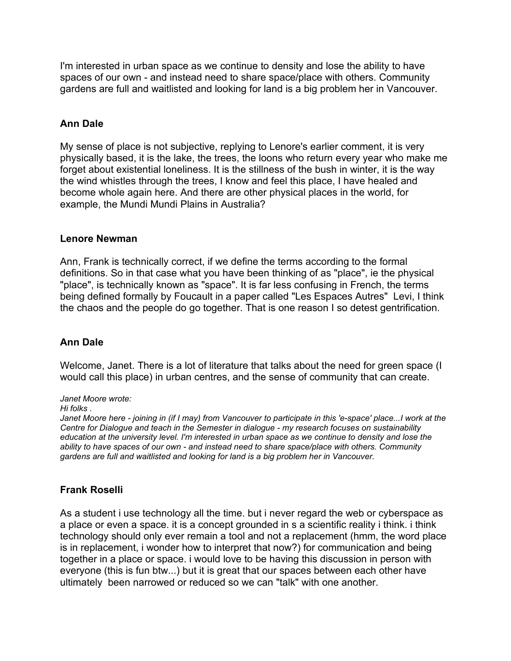I'm interested in urban space as we continue to density and lose the ability to have spaces of our own - and instead need to share space/place with others. Community gardens are full and waitlisted and looking for land is a big problem her in Vancouver.

# **Ann Dale**

My sense of place is not subjective, replying to Lenore's earlier comment, it is very physically based, it is the lake, the trees, the loons who return every year who make me forget about existential loneliness. It is the stillness of the bush in winter, it is the way the wind whistles through the trees, I know and feel this place, I have healed and become whole again here. And there are other physical places in the world, for example, the Mundi Mundi Plains in Australia?

## **Lenore Newman**

Ann, Frank is technically correct, if we define the terms according to the formal definitions. So in that case what you have been thinking of as "place", ie the physical "place", is technically known as "space". It is far less confusing in French, the terms being defined formally by Foucault in a paper called "Les Espaces Autres" Levi, I think the chaos and the people do go together. That is one reason I so detest gentrification.

## **Ann Dale**

Welcome, Janet. There is a lot of literature that talks about the need for green space (I would call this place) in urban centres, and the sense of community that can create.

*Janet Moore wrote:*

#### *Hi folks .*

Janet Moore here - joining in (if I may) from Vancouver to participate in this 'e-space' place... I work at the *Centre for Dialogue and teach in the Semester in dialogue - my research focuses on sustainability* education at the university level. I'm interested in urban space as we continue to density and lose the *ability to have spaces of our own - and instead need to share space/place with others. Community gardens are full and waitlisted and looking for land is a big problem her in Vancouver.*

## **Frank Roselli**

As a student i use technology all the time. but i never regard the web or cyberspace as a place or even a space. it is a concept grounded in s a scientific reality i think. i think technology should only ever remain a tool and not a replacement (hmm, the word place is in replacement, i wonder how to interpret that now?) for communication and being together in a place or space. i would love to be having this discussion in person with everyone (this is fun btw...) but it is great that our spaces between each other have ultimately been narrowed or reduced so we can "talk" with one another.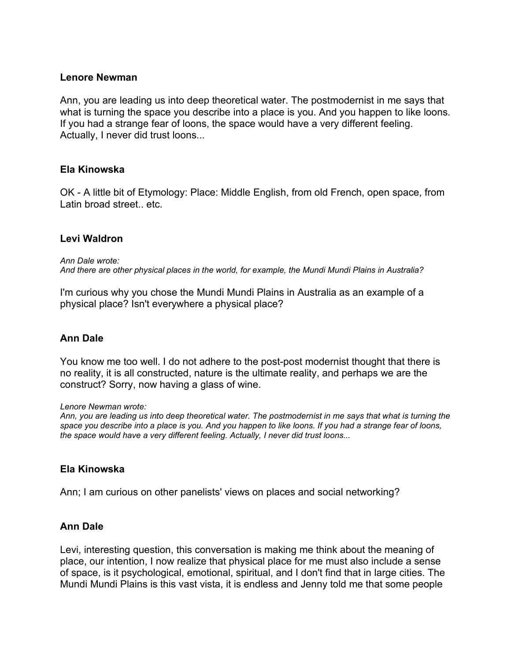Ann, you are leading us into deep theoretical water. The postmodernist in me says that what is turning the space you describe into a place is you. And you happen to like loons. If you had a strange fear of loons, the space would have a very different feeling. Actually, I never did trust loons...

## **Ela Kinowska**

OK - A little bit of Etymology: Place: Middle English, from old French, open space, from Latin broad street.. etc.

## **Levi Waldron**

*Ann Dale wrote: And there are other physical places in the world, for example, the Mundi Mundi Plains in Australia?*

I'm curious why you chose the Mundi Mundi Plains in Australia as an example of a physical place? Isn't everywhere a physical place?

## **Ann Dale**

You know me too well. I do not adhere to the post-post modernist thought that there is no reality, it is all constructed, nature is the ultimate reality, and perhaps we are the construct? Sorry, now having a glass of wine.

#### *Lenore Newman wrote:*

Ann, you are leading us into deep theoretical water. The postmodernist in me says that what is turning the space you describe into a place is you. And you happen to like loons. If you had a strange fear of loons, *the space would have a very different feeling. Actually, I never did trust loons...*

## **Ela Kinowska**

Ann; I am curious on other panelists' views on places and social networking?

## **Ann Dale**

Levi, interesting question, this conversation is making me think about the meaning of place, our intention, I now realize that physical place for me must also include a sense of space, is it psychological, emotional, spiritual, and I don't find that in large cities. The Mundi Mundi Plains is this vast vista, it is endless and Jenny told me that some people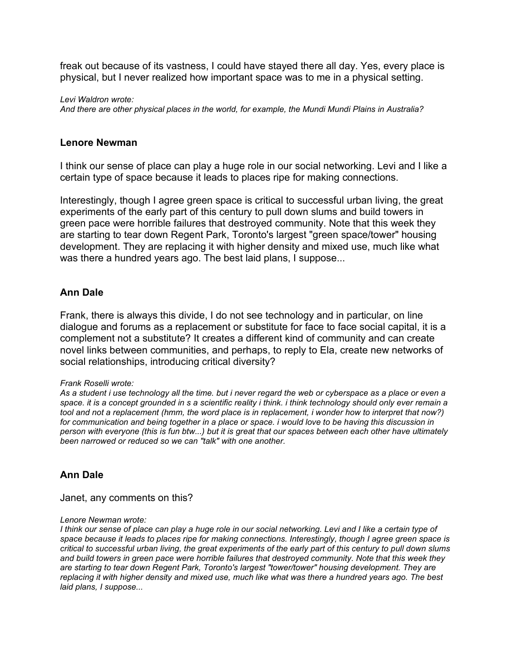freak out because of its vastness, I could have stayed there all day. Yes, every place is physical, but I never realized how important space was to me in a physical setting.

*Levi Waldron wrote: And there are other physical places in the world, for example, the Mundi Mundi Plains in Australia?*

#### **Lenore Newman**

I think our sense of place can play a huge role in our social networking. Levi and I like a certain type of space because it leads to places ripe for making connections.

Interestingly, though I agree green space is critical to successful urban living, the great experiments of the early part of this century to pull down slums and build towers in green pace were horrible failures that destroyed community. Note that this week they are starting to tear down Regent Park, Toronto's largest "green space/tower" housing development. They are replacing it with higher density and mixed use, much like what was there a hundred years ago. The best laid plans, I suppose...

## **Ann Dale**

Frank, there is always this divide, I do not see technology and in particular, on line dialogue and forums as a replacement or substitute for face to face social capital, it is a complement not a substitute? It creates a different kind of community and can create novel links between communities, and perhaps, to reply to Ela, create new networks of social relationships, introducing critical diversity?

#### *Frank Roselli wrote:*

As a student i use technology all the time. but i never regard the web or cyberspace as a place or even a space, it is a concept grounded in s a scientific reality i think, i think technology should only ever remain a tool and not a replacement (hmm, the word place is in replacement, i wonder how to interpret that now?) for communication and being together in a place or space. I would love to be having this discussion in person with everyone (this is fun btw...) but it is great that our spaces between each other have ultimately *been narrowed or reduced so we can "talk" with one another.*

## **Ann Dale**

Janet, any comments on this?

#### *Lenore Newman wrote:*

I think our sense of place can play a huge role in our social networking. Levi and I like a certain type of space because it leads to places ripe for making connections. Interestingly, though I agree green space is critical to successful urban living, the great experiments of the early part of this century to pull down slums *and build towers in green pace were horrible failures that destroyed community. Note that this week they are starting to tear down Regent Park, Toronto's largest "tower/tower" housing development. They are* replacing it with higher density and mixed use, much like what was there a hundred years ago. The best *laid plans, I suppose...*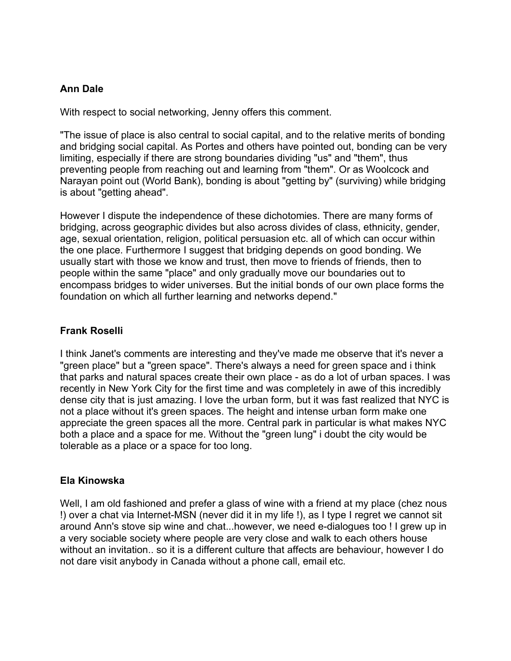# **Ann Dale**

With respect to social networking, Jenny offers this comment.

"The issue of place is also central to social capital, and to the relative merits of bonding and bridging social capital. As Portes and others have pointed out, bonding can be very limiting, especially if there are strong boundaries dividing "us" and "them", thus preventing people from reaching out and learning from "them". Or as Woolcock and Narayan point out (World Bank), bonding is about "getting by" (surviving) while bridging is about "getting ahead".

However I dispute the independence of these dichotomies. There are many forms of bridging, across geographic divides but also across divides of class, ethnicity, gender, age, sexual orientation, religion, political persuasion etc. all of which can occur within the one place. Furthermore I suggest that bridging depends on good bonding. We usually start with those we know and trust, then move to friends of friends, then to people within the same "place" and only gradually move our boundaries out to encompass bridges to wider universes. But the initial bonds of our own place forms the foundation on which all further learning and networks depend."

# **Frank Roselli**

I think Janet's comments are interesting and they've made me observe that it's never a "green place" but a "green space". There's always a need for green space and i think that parks and natural spaces create their own place - as do a lot of urban spaces. I was recently in New York City for the first time and was completely in awe of this incredibly dense city that is just amazing. I love the urban form, but it was fast realized that NYC is not a place without it's green spaces. The height and intense urban form make one appreciate the green spaces all the more. Central park in particular is what makes NYC both a place and a space for me. Without the "green lung" i doubt the city would be tolerable as a place or a space for too long.

## **Ela Kinowska**

Well, I am old fashioned and prefer a glass of wine with a friend at my place (chez nous !) over a chat via Internet-MSN (never did it in my life !), as I type I regret we cannot sit around Ann's stove sip wine and chat...however, we need e-dialogues too ! I grew up in a very sociable society where people are very close and walk to each others house without an invitation.. so it is a different culture that affects are behaviour, however I do not dare visit anybody in Canada without a phone call, email etc.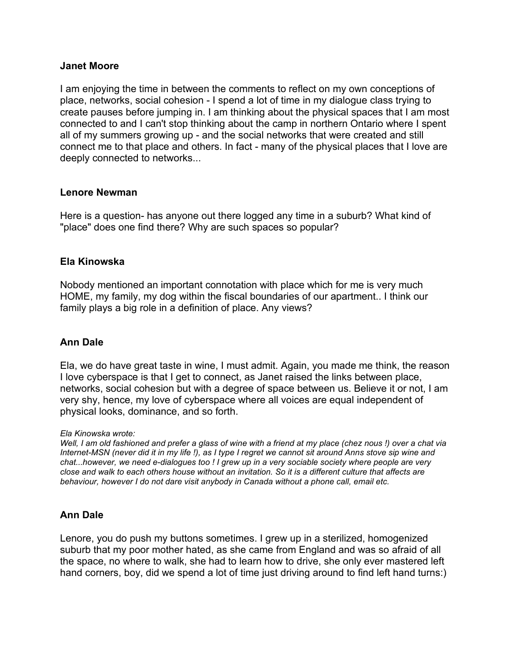#### **Janet Moore**

I am enjoying the time in between the comments to reflect on my own conceptions of place, networks, social cohesion - I spend a lot of time in my dialogue class trying to create pauses before jumping in. I am thinking about the physical spaces that I am most connected to and I can't stop thinking about the camp in northern Ontario where I spent all of my summers growing up - and the social networks that were created and still connect me to that place and others. In fact - many of the physical places that I love are deeply connected to networks...

## **Lenore Newman**

Here is a question- has anyone out there logged any time in a suburb? What kind of "place" does one find there? Why are such spaces so popular?

## **Ela Kinowska**

Nobody mentioned an important connotation with place which for me is very much HOME, my family, my dog within the fiscal boundaries of our apartment.. I think our family plays a big role in a definition of place. Any views?

## **Ann Dale**

Ela, we do have great taste in wine, I must admit. Again, you made me think, the reason I love cyberspace is that I get to connect, as Janet raised the links between place, networks, social cohesion but with a degree of space between us. Believe it or not, I am very shy, hence, my love of cyberspace where all voices are equal independent of physical looks, dominance, and so forth.

#### *Ela Kinowska wrote:*

Well, I am old fashioned and prefer a glass of wine with a friend at my place (chez nous!) over a chat via Internet-MSN (never did it in my life !), as I type I regret we cannot sit around Anns stove sip wine and chat...however, we need e-dialogues too ! I grew up in a very sociable society where people are very close and walk to each others house without an invitation. So it is a different culture that affects are *behaviour, however I do not dare visit anybody in Canada without a phone call, email etc.*

## **Ann Dale**

Lenore, you do push my buttons sometimes. I grew up in a sterilized, homogenized suburb that my poor mother hated, as she came from England and was so afraid of all the space, no where to walk, she had to learn how to drive, she only ever mastered left hand corners, boy, did we spend a lot of time just driving around to find left hand turns:)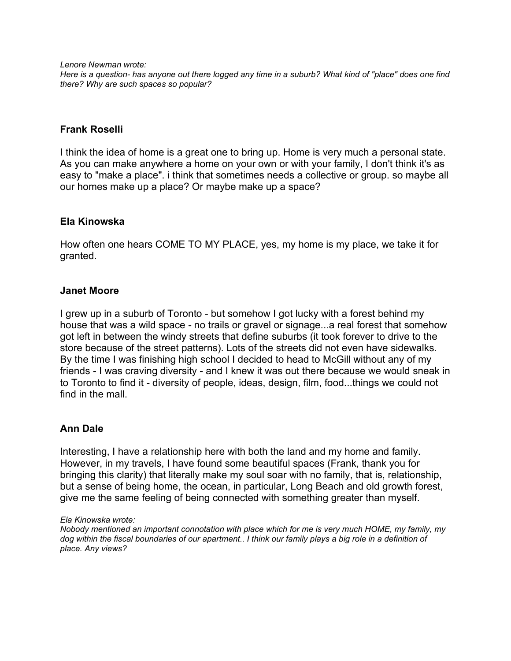*Lenore Newman wrote:*

Here is a question- has anyone out there logged any time in a suburb? What kind of "place" does one find *there? Why are such spaces so popular?*

## **Frank Roselli**

I think the idea of home is a great one to bring up. Home is very much a personal state. As you can make anywhere a home on your own or with your family, I don't think it's as easy to "make a place". i think that sometimes needs a collective or group. so maybe all our homes make up a place? Or maybe make up a space?

## **Ela Kinowska**

How often one hears COME TO MY PLACE, yes, my home is my place, we take it for granted.

## **Janet Moore**

I grew up in a suburb of Toronto - but somehow I got lucky with a forest behind my house that was a wild space - no trails or gravel or signage...a real forest that somehow got left in between the windy streets that define suburbs (it took forever to drive to the store because of the street patterns). Lots of the streets did not even have sidewalks. By the time I was finishing high school I decided to head to McGill without any of my friends - I was craving diversity - and I knew it was out there because we would sneak in to Toronto to find it - diversity of people, ideas, design, film, food...things we could not find in the mall.

## **Ann Dale**

Interesting, I have a relationship here with both the land and my home and family. However, in my travels, I have found some beautiful spaces (Frank, thank you for bringing this clarity) that literally make my soul soar with no family, that is, relationship, but a sense of being home, the ocean, in particular, Long Beach and old growth forest, give me the same feeling of being connected with something greater than myself.

#### *Ela Kinowska wrote:*

*Nobody mentioned an important connotation with place which for me is very much HOME, my family, my* dog within the fiscal boundaries of our apartment.. I think our family plays a big role in a definition of *place. Any views?*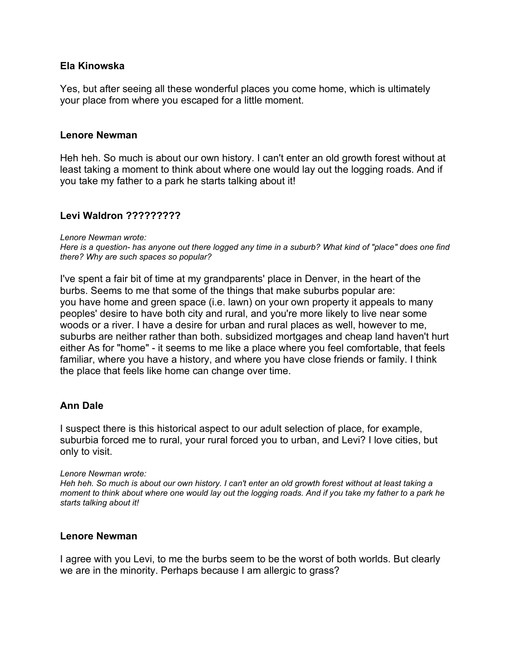## **Ela Kinowska**

Yes, but after seeing all these wonderful places you come home, which is ultimately your place from where you escaped for a little moment.

#### **Lenore Newman**

Heh heh. So much is about our own history. I can't enter an old growth forest without at least taking a moment to think about where one would lay out the logging roads. And if you take my father to a park he starts talking about it!

## **Levi Waldron ?????????**

*Lenore Newman wrote:*

Here is a question- has anyone out there logged any time in a suburb? What kind of "place" does one find *there? Why are such spaces so popular?*

I've spent a fair bit of time at my grandparents' place in Denver, in the heart of the burbs. Seems to me that some of the things that make suburbs popular are: you have home and green space (i.e. lawn) on your own property it appeals to many peoples' desire to have both city and rural, and you're more likely to live near some woods or a river. I have a desire for urban and rural places as well, however to me, suburbs are neither rather than both. subsidized mortgages and cheap land haven't hurt either As for "home" - it seems to me like a place where you feel comfortable, that feels familiar, where you have a history, and where you have close friends or family. I think the place that feels like home can change over time.

## **Ann Dale**

I suspect there is this historical aspect to our adult selection of place, for example, suburbia forced me to rural, your rural forced you to urban, and Levi? I love cities, but only to visit.

#### *Lenore Newman wrote:*

Heh heh. So much is about our own history. I can't enter an old growth forest without at least taking a moment to think about where one would lay out the logging roads. And if you take my father to a park he *starts talking about it!*

#### **Lenore Newman**

I agree with you Levi, to me the burbs seem to be the worst of both worlds. But clearly we are in the minority. Perhaps because I am allergic to grass?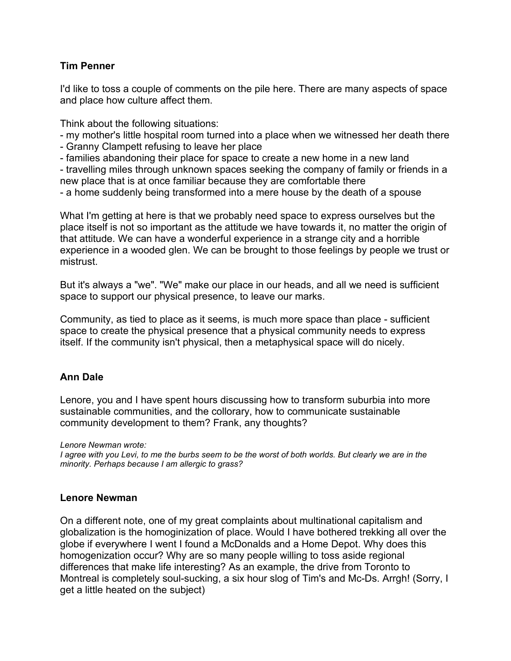## **Tim Penner**

I'd like to toss a couple of comments on the pile here. There are many aspects of space and place how culture affect them.

Think about the following situations:

- my mother's little hospital room turned into a place when we witnessed her death there
- Granny Clampett refusing to leave her place
- families abandoning their place for space to create a new home in a new land

- travelling miles through unknown spaces seeking the company of family or friends in a new place that is at once familiar because they are comfortable there

- a home suddenly being transformed into a mere house by the death of a spouse

What I'm getting at here is that we probably need space to express ourselves but the place itself is not so important as the attitude we have towards it, no matter the origin of that attitude. We can have a wonderful experience in a strange city and a horrible experience in a wooded glen. We can be brought to those feelings by people we trust or mistrust.

But it's always a "we". "We" make our place in our heads, and all we need is sufficient space to support our physical presence, to leave our marks.

Community, as tied to place as it seems, is much more space than place - sufficient space to create the physical presence that a physical community needs to express itself. If the community isn't physical, then a metaphysical space will do nicely.

# **Ann Dale**

Lenore, you and I have spent hours discussing how to transform suburbia into more sustainable communities, and the collorary, how to communicate sustainable community development to them? Frank, any thoughts?

*Lenore Newman wrote:*

I agree with you Levi, to me the burbs seem to be the worst of both worlds. But clearly we are in the *minority. Perhaps because I am allergic to grass?*

## **Lenore Newman**

On a different note, one of my great complaints about multinational capitalism and globalization is the homoginization of place. Would I have bothered trekking all over the globe if everywhere I went I found a McDonalds and a Home Depot. Why does this homogenization occur? Why are so many people willing to toss aside regional differences that make life interesting? As an example, the drive from Toronto to Montreal is completely soul-sucking, a six hour slog of Tim's and Mc-Ds. Arrgh! (Sorry, I get a little heated on the subject)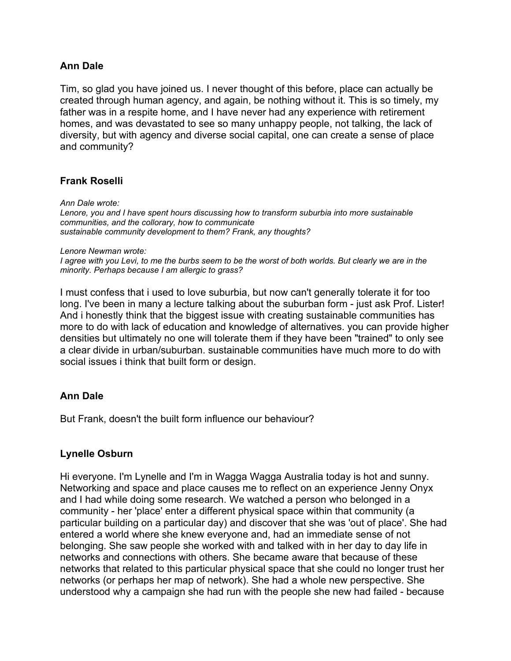## **Ann Dale**

Tim, so glad you have joined us. I never thought of this before, place can actually be created through human agency, and again, be nothing without it. This is so timely, my father was in a respite home, and I have never had any experience with retirement homes, and was devastated to see so many unhappy people, not talking, the lack of diversity, but with agency and diverse social capital, one can create a sense of place and community?

## **Frank Roselli**

*Ann Dale wrote: Lenore, you and I have spent hours discussing how to transform suburbia into more sustainable communities, and the collorary, how to communicate sustainable community development to them? Frank, any thoughts?*

*Lenore Newman wrote:*

I agree with you Levi, to me the burbs seem to be the worst of both worlds. But clearly we are in the *minority. Perhaps because I am allergic to grass?*

I must confess that i used to love suburbia, but now can't generally tolerate it for too long. I've been in many a lecture talking about the suburban form - just ask Prof. Lister! And i honestly think that the biggest issue with creating sustainable communities has more to do with lack of education and knowledge of alternatives. you can provide higher densities but ultimately no one will tolerate them if they have been "trained" to only see a clear divide in urban/suburban. sustainable communities have much more to do with social issues i think that built form or design.

## **Ann Dale**

But Frank, doesn't the built form influence our behaviour?

#### **Lynelle Osburn**

Hi everyone. I'm Lynelle and I'm in Wagga Wagga Australia today is hot and sunny. Networking and space and place causes me to reflect on an experience Jenny Onyx and I had while doing some research. We watched a person who belonged in a community - her 'place' enter a different physical space within that community (a particular building on a particular day) and discover that she was 'out of place'. She had entered a world where she knew everyone and, had an immediate sense of not belonging. She saw people she worked with and talked with in her day to day life in networks and connections with others. She became aware that because of these networks that related to this particular physical space that she could no longer trust her networks (or perhaps her map of network). She had a whole new perspective. She understood why a campaign she had run with the people she new had failed - because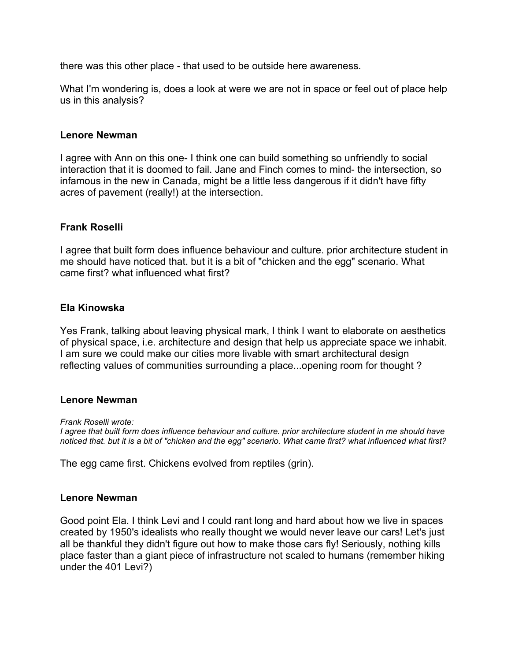there was this other place - that used to be outside here awareness.

What I'm wondering is, does a look at were we are not in space or feel out of place help us in this analysis?

## **Lenore Newman**

I agree with Ann on this one- I think one can build something so unfriendly to social interaction that it is doomed to fail. Jane and Finch comes to mind- the intersection, so infamous in the new in Canada, might be a little less dangerous if it didn't have fifty acres of pavement (really!) at the intersection.

## **Frank Roselli**

I agree that built form does influence behaviour and culture. prior architecture student in me should have noticed that. but it is a bit of "chicken and the egg" scenario. What came first? what influenced what first?

## **Ela Kinowska**

Yes Frank, talking about leaving physical mark, I think I want to elaborate on aesthetics of physical space, i.e. architecture and design that help us appreciate space we inhabit. I am sure we could make our cities more livable with smart architectural design reflecting values of communities surrounding a place...opening room for thought ?

#### **Lenore Newman**

*Frank Roselli wrote:*

I agree that built form does influence behaviour and culture, prior architecture student in me should have noticed that. but it is a bit of "chicken and the egg" scenario. What came first? what influenced what first?

The egg came first. Chickens evolved from reptiles (grin).

#### **Lenore Newman**

Good point Ela. I think Levi and I could rant long and hard about how we live in spaces created by 1950's idealists who really thought we would never leave our cars! Let's just all be thankful they didn't figure out how to make those cars fly! Seriously, nothing kills place faster than a giant piece of infrastructure not scaled to humans (remember hiking under the 401 Levi?)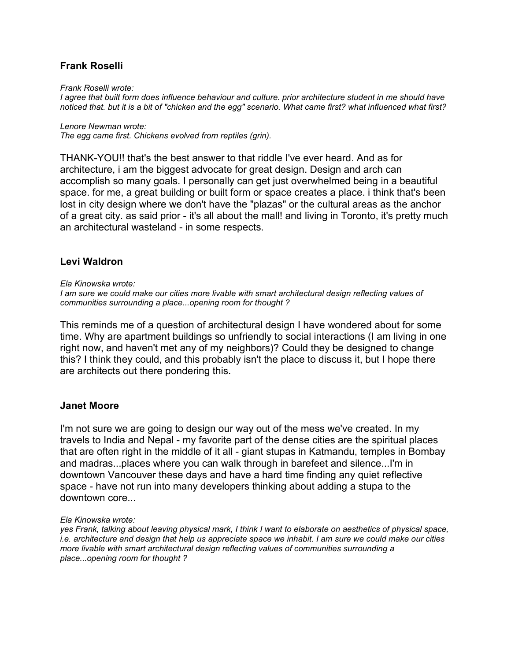## **Frank Roselli**

*Frank Roselli wrote:*

I agree that built form does influence behaviour and culture, prior architecture student in me should have noticed that. but it is a bit of "chicken and the egg" scenario. What came first? what influenced what first?

*Lenore Newman wrote: The egg came first. Chickens evolved from reptiles (grin).*

THANK-YOU!! that's the best answer to that riddle I've ever heard. And as for architecture, i am the biggest advocate for great design. Design and arch can accomplish so many goals. I personally can get just overwhelmed being in a beautiful space. for me, a great building or built form or space creates a place. i think that's been lost in city design where we don't have the "plazas" or the cultural areas as the anchor of a great city. as said prior - it's all about the mall! and living in Toronto, it's pretty much an architectural wasteland - in some respects.

## **Levi Waldron**

#### *Ela Kinowska wrote:*

*I am sure we could make our cities more livable with smart architectural design reflecting values of communities surrounding a place...opening room for thought ?*

This reminds me of a question of architectural design I have wondered about for some time. Why are apartment buildings so unfriendly to social interactions (I am living in one right now, and haven't met any of my neighbors)? Could they be designed to change this? I think they could, and this probably isn't the place to discuss it, but I hope there are architects out there pondering this.

#### **Janet Moore**

I'm not sure we are going to design our way out of the mess we've created. In my travels to India and Nepal - my favorite part of the dense cities are the spiritual places that are often right in the middle of it all - giant stupas in Katmandu, temples in Bombay and madras...places where you can walk through in barefeet and silence...I'm in downtown Vancouver these days and have a hard time finding any quiet reflective space - have not run into many developers thinking about adding a stupa to the downtown core...

#### *Ela Kinowska wrote:*

yes Frank, talking about leaving physical mark, I think I want to elaborate on aesthetics of physical space, i.e. architecture and design that help us appreciate space we inhabit. I am sure we could make our cities *more livable with smart architectural design reflecting values of communities surrounding a place...opening room for thought ?*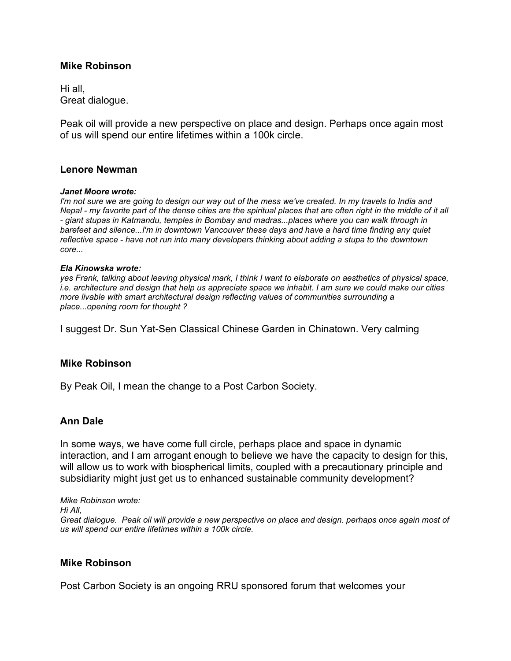#### **Mike Robinson**

Hi all, Great dialogue.

Peak oil will provide a new perspective on place and design. Perhaps once again most of us will spend our entire lifetimes within a 100k circle.

#### **Lenore Newman**

#### *Janet Moore wrote:*

I'm not sure we are going to design our way out of the mess we've created. In my travels to India and Nepal - my favorite part of the dense cities are the spiritual places that are often right in the middle of it all *- giant stupas in Katmandu, temples in Bombay and madras...places where you can walk through in barefeet and silence...I'm in downtown Vancouver these days and have a hard time finding any quiet reflective space - have not run into many developers thinking about adding a stupa to the downtown core...*

#### *Ela Kinowska wrote:*

yes Frank, talking about leaving physical mark, I think I want to elaborate on aesthetics of physical space, i.e. architecture and design that help us appreciate space we inhabit. I am sure we could make our cities *more livable with smart architectural design reflecting values of communities surrounding a place...opening room for thought ?*

I suggest Dr. Sun Yat-Sen Classical Chinese Garden in Chinatown. Very calming

#### **Mike Robinson**

By Peak Oil, I mean the change to a Post Carbon Society.

#### **Ann Dale**

In some ways, we have come full circle, perhaps place and space in dynamic interaction, and I am arrogant enough to believe we have the capacity to design for this, will allow us to work with biospherical limits, coupled with a precautionary principle and subsidiarity might just get us to enhanced sustainable community development?

*Mike Robinson wrote: Hi All,* Great dialogue. Peak oil will provide a new perspective on place and design. perhaps once again most of *us will spend our entire lifetimes within a 100k circle.*

#### **Mike Robinson**

Post Carbon Society is an ongoing RRU sponsored forum that welcomes your